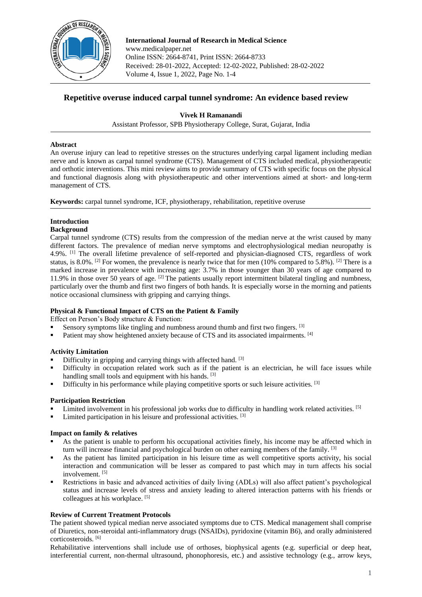

**International Journal of Research in Medical Science** www.medicalpaper.net Online ISSN: 2664-8741, Print ISSN: 2664-8733 Received: 28-01-2022, Accepted: 12-02-2022, Published: 28-02-2022 Volume 4, Issue 1, 2022, Page No. 1-4

# **Repetitive overuse induced carpal tunnel syndrome: An evidence based review**

## **Vivek H Ramanandi**

Assistant Professor, SPB Physiotherapy College, Surat, Gujarat, India

#### **Abstract**

An overuse injury can lead to repetitive stresses on the structures underlying carpal ligament including median nerve and is known as carpal tunnel syndrome (CTS). Management of CTS included medical, physiotherapeutic and orthotic interventions. This mini review aims to provide summary of CTS with specific focus on the physical and functional diagnosis along with physiotherapeutic and other interventions aimed at short- and long-term management of CTS.

**Keywords:** carpal tunnel syndrome, ICF, physiotherapy, rehabilitation, repetitive overuse

# **Introduction**

#### **Background**

Carpal tunnel syndrome (CTS) results from the compression of the median nerve at the wrist caused by many different factors. The prevalence of median nerve symptoms and electrophysiological median neuropathy is 4.9%. [1] The overall lifetime prevalence of self-reported and physician-diagnosed CTS, regardless of work status, is 8.0%. <sup>[2]</sup> For women, the prevalence is nearly twice that for men (10% compared to 5.8%). <sup>[2]</sup> There is a marked increase in prevalence with increasing age: 3.7% in those younger than 30 years of age compared to 11.9% in those over 50 years of age. <sup>[2]</sup> The patients usually report intermittent bilateral tingling and numbness, particularly over the thumb and first two fingers of both hands. It is especially worse in the morning and patients notice occasional clumsiness with gripping and carrying things.

# **Physical & Functional Impact of CTS on the Patient & Family**

Effect on Person's Body structure & Function:

- Sensory symptoms like tingling and numbness around thumb and first two fingers. [3]
- Patient may show heightened anxiety because of CTS and its associated impairments. [4]

# **Activity Limitation**

- Difficulty in gripping and carrying things with affected hand. <sup>[3]</sup>
- Difficulty in occupation related work such as if the patient is an electrician, he will face issues while handling small tools and equipment with his hands. [3]
- Difficulty in his performance while playing competitive sports or such leisure activities. <sup>[3]</sup>

#### **Participation Restriction**

- Limited involvement in his professional job works due to difficulty in handling work related activities. [5]
- Limited participation in his leisure and professional activities. [3]

# **Impact on family & relatives**

- As the patient is unable to perform his occupational activities finely, his income may be affected which in turn will increase financial and psychological burden on other earning members of the family. [3]
- As the patient has limited participation in his leisure time as well competitive sports activity, his social interaction and communication will be lesser as compared to past which may in turn affects his social involvement. [5]
- Restrictions in basic and advanced activities of daily living (ADLs) will also affect patient's psychological status and increase levels of stress and anxiety leading to altered interaction patterns with his friends or colleagues at his workplace. [5]

# **Review of Current Treatment Protocols**

The patient showed typical median nerve associated symptoms due to CTS. Medical management shall comprise of Diuretics, non-steroidal anti-inflammatory drugs (NSAIDs), pyridoxine (vitamin B6), and orally administered corticosteroids. [6]

Rehabilitative interventions shall include use of orthoses, biophysical agents (e.g. superficial or deep heat, interferential current, non-thermal ultrasound, phonophoresis, etc.) and assistive technology (e.g., arrow keys,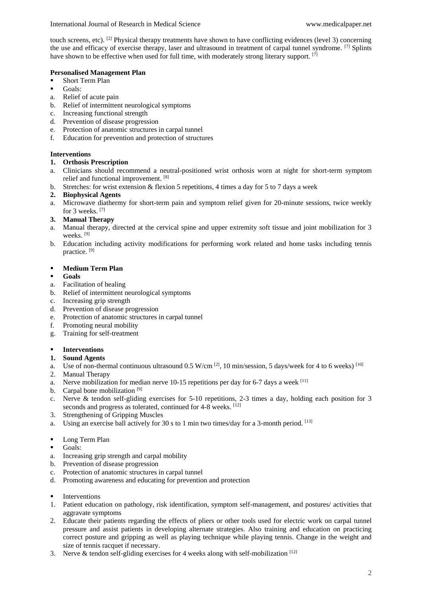touch screens, etc). <sup>[2]</sup> Physical therapy treatments have shown to have conflicting evidences (level 3) concerning the use and efficacy of exercise therapy, laser and ultrasound in treatment of carpal tunnel syndrome. <sup>[7]</sup> Splints have shown to be effective when used for full time, with moderately strong literary support. [7]

## **Personalised Management Plan**

- Short Term Plan
- Goals:
- a. Relief of acute pain
- b. Relief of intermittent neurological symptoms
- c. Increasing functional strength
- d. Prevention of disease progression
- e. Protection of anatomic structures in carpal tunnel
- f. Education for prevention and protection of structures

## **Interventions**

#### **1. Orthosis Prescription**

- a. Clinicians should recommend a neutral-positioned wrist orthosis worn at night for short-term symptom relief and functional improvement. [8]
- b. Stretches: for wrist extension & flexion 5 repetitions, 4 times a day for 5 to 7 days a week
- **2. Biophysical Agents**
- a. Microwave diathermy for short-term pain and symptom relief given for 20-minute sessions, twice weekly for 3 weeks. [7]
- **3. Manual Therapy**
- a. Manual therapy, directed at the cervical spine and upper extremity soft tissue and joint mobilization for 3 weeks. [9]
- b. Education including activity modifications for performing work related and home tasks including tennis practice. [9]

#### **Medium Term Plan**

#### **Goals**

- a. Facilitation of healing
- b. Relief of intermittent neurological symptoms
- c. Increasing grip strength
- d. Prevention of disease progression
- e. Protection of anatomic structures in carpal tunnel
- f. Promoting neural mobility
- g. Training for self-treatment

# **Interventions**

- **1. Sound Agents**
- a. Use of non-thermal continuous ultrasound  $0.5$  W/cm  $^{[2]}$ , 10 min/session, 5 days/week for 4 to 6 weeks)  $^{[10]}$
- 2. Manual Therapy
- a. Nerve mobilization for median nerve 10-15 repetitions per day for 6-7 days a week <sup>[11]</sup>
- b. Carpal bone mobilization [9]
- c. Nerve & tendon self-gliding exercises for 5-10 repetitions, 2-3 times a day, holding each position for 3 seconds and progress as tolerated, continued for 4-8 weeks. [12]
- 3. Strengthening of Gripping Muscles
- a. Using an exercise ball actively for 30 s to 1 min two times/day for a 3-month period. [13]
- **Long Term Plan**
- Goals:
- a. Increasing grip strength and carpal mobility
- b. Prevention of disease progression
- c. Protection of anatomic structures in carpal tunnel
- d. Promoting awareness and educating for prevention and protection
- **Interventions**
- 1. Patient education on pathology, risk identification, symptom self-management, and postures/ activities that aggravate symptoms
- 2. Educate their patients regarding the effects of pliers or other tools used for electric work on carpal tunnel pressure and assist patients in developing alternate strategies. Also training and education on practicing correct posture and gripping as well as playing technique while playing tennis. Change in the weight and size of tennis racquet if necessary.
- 3. Nerve & tendon self-gliding exercises for 4 weeks along with self-mobilization  $[12]$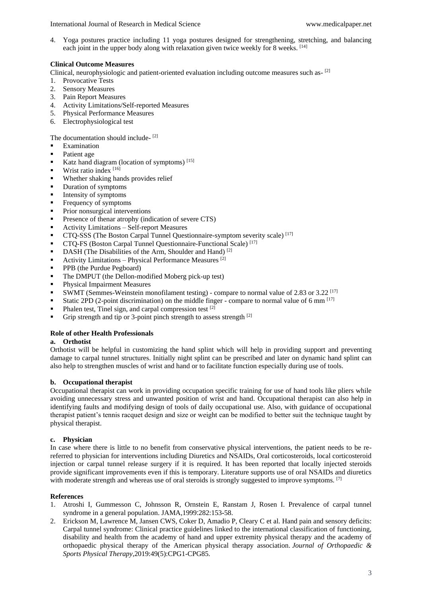4. Yoga postures practice including 11 yoga postures designed for strengthening, stretching, and balancing each joint in the upper body along with relaxation given twice weekly for 8 weeks. [14]

## **Clinical Outcome Measures**

Clinical, neurophysiologic and patient-oriented evaluation including outcome measures such as- [2]

- 1. Provocative Tests
- 2. Sensory Measures
- 3. Pain Report Measures
- 4. Activity Limitations/Self-reported Measures
- 5. Physical Performance Measures
- 6. Electrophysiological test

The documentation should include-<sup>[2]</sup>

- Examination
- Patient age
- Katz hand diagram (location of symptoms) [15]
- Wrist ratio index [16]
- Whether shaking hands provides relief
- Duration of symptoms
- $\blacksquare$  Intensity of symptoms
- Frequency of symptoms
- Prior nonsurgical interventions
- Presence of thenar atrophy (indication of severe CTS)
- Activity Limitations Self-report Measures
- CTQ-SSS (The Boston Carpal Tunnel Questionnaire-symptom severity scale)<sup>[17]</sup>
- **CTQ-FS** (Boston Carpal Tunnel Questionnaire-Functional Scale)<sup>[17]</sup>
- $\blacksquare$  DASH (The Disabilities of the Arm, Shoulder and Hand)<sup>[2]</sup>
- Activity Limitations Physical Performance Measures  $^{[2]}$
- **PPB** (the Purdue Pegboard)
- The DMPUT (the Dellon-modified Moberg pick-up test)
- **Physical Impairment Measures**
- SWMT (Semmes-Weinstein monofilament testing) compare to normal value of 2.83 or 3.22  $^{[17]}$
- Static 2PD (2-point discrimination) on the middle finger compare to normal value of 6 mm  $^{[17]}$
- Phalen test, Tinel sign, and carpal compression test  $^{[2]}$
- Grip strength and tip or 3-point pinch strength to assess strength [2]

# **Role of other Health Professionals**

#### **a. Orthotist**

Orthotist will be helpful in customizing the hand splint which will help in providing support and preventing damage to carpal tunnel structures. Initially night splint can be prescribed and later on dynamic hand splint can also help to strengthen muscles of wrist and hand or to facilitate function especially during use of tools.

#### **b. Occupational therapist**

Occupational therapist can work in providing occupation specific training for use of hand tools like pliers while avoiding unnecessary stress and unwanted position of wrist and hand. Occupational therapist can also help in identifying faults and modifying design of tools of daily occupational use. Also, with guidance of occupational therapist patient's tennis racquet design and size or weight can be modified to better suit the technique taught by physical therapist.

#### **c. Physician**

In case where there is little to no benefit from conservative physical interventions, the patient needs to be rereferred to physician for interventions including Diuretics and NSAIDs, Oral corticosteroids, local corticosteroid injection or carpal tunnel release surgery if it is required. It has been reported that locally injected steroids provide significant improvements even if this is temporary. Literature supports use of oral NSAIDs and diuretics with moderate strength and whereas use of oral steroids is strongly suggested to improve symptoms. <sup>[7]</sup>

#### **References**

- 1. Atroshi I, Gummesson C, Johnsson R, Ornstein E, Ranstam J, Rosen I. Prevalence of carpal tunnel syndrome in a general population. JAMA,1999:282:153**-**58.
- 2. Erickson M, Lawrence M, Jansen CWS, Coker D, Amadio P, Cleary C et al. Hand pain and sensory deficits: Carpal tunnel syndrome: Clinical practice guidelines linked to the international classification of functioning, disability and health from the academy of hand and upper extremity physical therapy and the academy of orthopaedic physical therapy of the American physical therapy association. *Journal of Orthopaedic & Sports Physical Therapy*,2019:49(5):CPG1-CPG85.